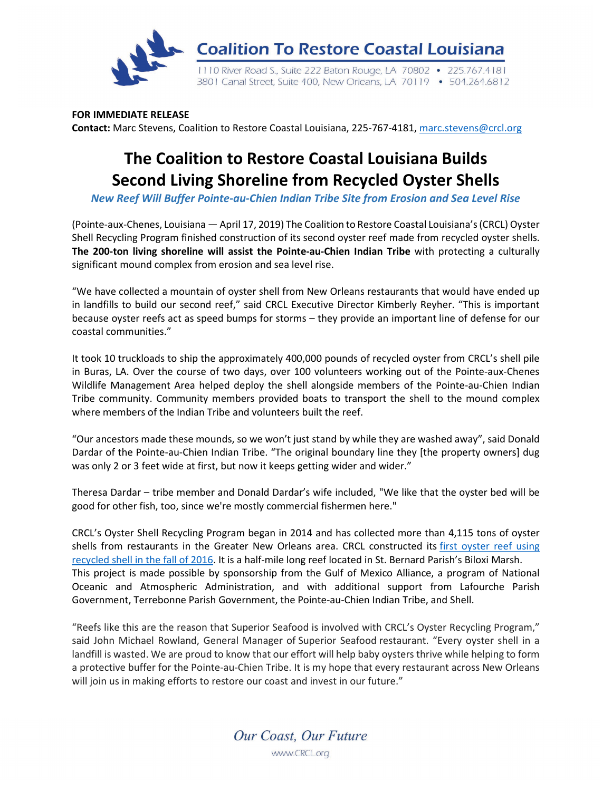

**FOR IMMEDIATE RELEASE Contact:** Marc Stevens, Coalition to Restore Coastal Louisiana, 225-767-4181[, marc.stevens@crcl.org](mailto:marc.stevens@crcl.org)

## **The Coalition to Restore Coastal Louisiana Builds Second Living Shoreline from Recycled Oyster Shells**

*New Reef Will Buffer Pointe-au-Chien Indian Tribe Site from Erosion and Sea Level Rise*

(Pointe-aux-Chenes, Louisiana — April 17, 2019) The Coalition to Restore Coastal Louisiana's (CRCL) Oyster Shell Recycling Program finished construction of its second oyster reef made from recycled oyster shells. **The 200-ton living shoreline will assist the Pointe-au-Chien Indian Tribe** with protecting a culturally significant mound complex from erosion and sea level rise.

"We have collected a mountain of oyster shell from New Orleans restaurants that would have ended up in landfills to build our second reef," said CRCL Executive Director Kimberly Reyher. "This is important because oyster reefs act as speed bumps for storms – they provide an important line of defense for our coastal communities."

It took 10 truckloads to ship the approximately 400,000 pounds of recycled oyster from CRCL's shell pile in Buras, LA. Over the course of two days, over 100 volunteers working out of the Pointe-aux-Chenes Wildlife Management Area helped deploy the shell alongside members of the Pointe-au-Chien Indian Tribe community. Community members provided boats to transport the shell to the mound complex where members of the Indian Tribe and volunteers built the reef.

"Our ancestors made these mounds, so we won't just stand by while they are washed away", said Donald Dardar of the Pointe-au-Chien Indian Tribe. "The original boundary line they [the property owners] dug was only 2 or 3 feet wide at first, but now it keeps getting wider and wider."

Theresa Dardar – tribe member and Donald Dardar's wife included, "We like that the oyster bed will be good for other fish, too, since we're mostly commercial fishermen here."

CRCL's Oyster Shell Recycling Program began in 2014 and has collected more than 4,115 tons of oyster shells from restaurants in the Greater New Orleans area. CRCL constructed its first [oyster](https://crcl.org/thousands-of-people-contribute-to-building-louisiana-s-newest-oyster-reef.html) reef using [recycled](https://crcl.org/thousands-of-people-contribute-to-building-louisiana-s-newest-oyster-reef.html) shell in the fall of 2016. It is a half-mile long reef located in St. Bernard Parish's Biloxi Marsh. This project is made possible by sponsorship from the Gulf of Mexico Alliance, a program of National Oceanic and Atmospheric Administration, and with additional support from Lafourche Parish Government, Terrebonne Parish Government, the Pointe-au-Chien Indian Tribe, and Shell.

"Reefs like this are the reason that Superior Seafood is involved with CRCL's Oyster Recycling Program," said John Michael Rowland, General Manager of Superior Seafood restaurant. "Every oyster shell in a landfill is wasted. We are proud to know that our effort will help baby oysters thrive while helping to form a protective buffer for the Pointe-au-Chien Tribe. It is my hope that every restaurant across New Orleans will join us in making efforts to restore our coast and invest in our future."

Our Coast, Our Future

www.CRCL.org